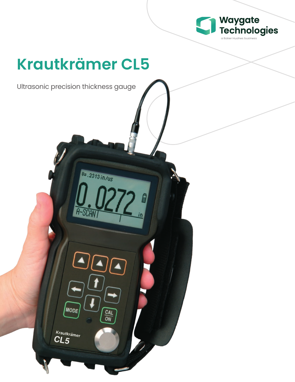

# **Krautkrämer CL5**

U=.2313 in/us

Ultrasonic precision thickness gauge

MODE

Krautkrämer  $CL5$ 

 $rac{CAL}{ON}$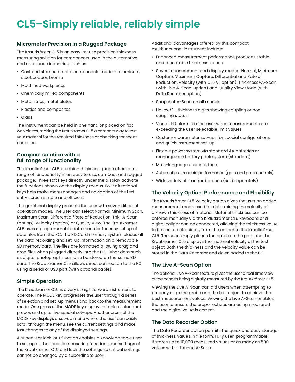### **CL5–Simply reliable, reliably simple**

#### **Micrometer Precision in a Rugged Package**

The Krautkrämer CL5 is an easy-to-use precision thickness measuring solution for components used in the automotive and aerospace industries, such as:

- Cast and stamped metal components made of aluminum, steel, copper, bronze
- Machined workpieces
- Chemically milled components
- Metal strips, metal plates
- Plastics and composites
- Glass

The instrument can be held in one hand or placed on flat workpieces, making the Krautkrämer CL5 a compact way to test your material for the required thickness or checking for sheet corrosion.

#### **Compact solution with a full range of functionality**

The Krautkrämer CL5 precision thickness gauge offers a full range of functionality in an easy to use, compact and rugged package. Three soft keys directly under the display activate the functions shown on the display menus. Four directional keys help make menu changes and navigation of the text entry screen simple and efficient.

The graphical display presents the user with seven different operation modes. The user can select Normal, Minimum Scan, Maximum Scan, Differential/Rate of Reduction, Thk+A-Scan (option), Velocity (option) or Quality View. The Krautkrämer CL5 uses a programmable data recorder for easy set up of data files from the PC. The SD Card memory system places all the data recording and set-up information on a removable SD memory card. The files are formatted allowing drag and drop files when plugged directly into the PC. Other data such as digital photographs can also be stored on the same SD card. The Krautkrämer CL5 allows direct connection to the PC, using a serial or USB port (with optional cable).

#### **Simple Operation**

The Krautkrämer CL5 is a very straightforward instrument to operate. The MODE key progresses the user through a series of selection and set-up menus and back to the measurement mode. One press of the MODE key displays a table of standard probes and up to five special set-ups. Another press of the MODE key displays a set-up menu where the user can easily scroll through the menu, see the current settings and make fast changes to any of the displayed settings.

A supervisor lock-out function enables a knowledgeable user to set up all the specific measuring functions and settings of the Krautkrämer CL5 and lock the settings so critical settings cannot be changed by a subordinate user.

Additional advantages offered by this compact, multifunctional instrument include:

- Enhanced measurement performance produces stable and repeatable thickness values
- Seven measurement and display modes: Normal, Minimum Capture, Maximum Capture, Differential and Rate of Reduction, Velocity (with CL5 VL option), Thickness+A-Scan (with Live A-Scan Option) and Quality View Mode (with Data Recorder option).
- Snapshot A-Scan on all models
- Hollow/Fill thickness digits showing coupling or noncoupling status
- Visual LED alarm to alert user when measurements are exceeding the user selectable limit values
- Customer parameter set-ups for special configurations and quick instrument set-up
- Flexible power system via standard AA batteries or rechargeable battery pack system (standard)
- Multi-language user interface
- Automatic ultrasonic performance (gain and gate controls)
- Wide variety of standard probes (sold separately)

#### **The Velocity Option: Performance and Flexibility**

The Krautkrämer CL5 Velocity option gives the user an added measurement mode used for determining the velocity of a known thickness of material. Material thickness can be entered manually via the Krautkrämer CL5 keyboard or a digital caliper can be connected, allowing the thickness value to be sent electronically from the caliper to the Krautkrämer CL5. The user simply places the probe on the part, and the Krautkrämer CL5 displays the material velocity of the test object. Both the thickness and the velocity value can be stored in the Data Recorder and downloaded to the PC.

#### **The Live A-Scan Option**

The optional Live A-Scan feature gives the user a real time view of the echoes being digitally measured by the Krautkrämer CL5.

Viewing the Live A-Scan can aid users when attempting to properly align the probe and the test object to achieve the best measurement values. Viewing the Live A-Scan enables the user to ensure the proper echoes are being measured and the digital value is correct.

#### **The Data Recorder Option**

The Data Recorder option permits the quick and easy storage of thickness values in file form. Fully user-programmable, it stores up to 10,000 measured values or as many as 500 values with attached A-Scan.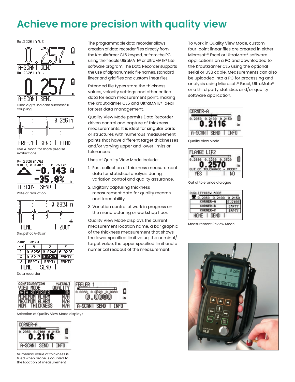## **Achieve more precision with quality view**

0=.2320 in/us





Rate of reduction



Snapshot A-Scan

| PANEL<br>3579 |              |                      |              |  |  |  |
|---------------|--------------|----------------------|--------------|--|--|--|
|               |              | в                    | c            |  |  |  |
|               |              | 8.8258 8.8248 8.8226 |              |  |  |  |
| 2             | 0.0217       | 8.8217               | <b>EMPTY</b> |  |  |  |
| з             | <b>EMPTY</b> | <b>EMPTY</b>         | <b>EMPTY</b> |  |  |  |
|               |              |                      |              |  |  |  |

Data recorder



Selection of Quality View Mode displays



Numerical value of thickness is filled when probe is coupled to the location of measurement

The programmable data recorder allows creation of data recorder files directly from the Krautkrämer CL5 keypad, or from the PC using the flexible UltraMATE® or UltraMATE® Lite software program. The Data Recorder supports the use of alphanumeric file names, standard linear and grid files and custom linear files.

Extended file types store the thickness values, velocity settings and other critical data for each measurement point, making the Krautkrämer CL5 and UltraMATE® ideal for test data management.

Quality View Mode permits Data Recorderdriven control and capture of thickness measurements. It is ideal for singular parts or structures with numerous measurement points that have different target thicknesses and/or varying upper and lower limits or tolerances.

Uses of Quality View Mode include:

- 1. Fast collection of thickness measurement data for statistical analysis during variation control and quality assurance.
- 2. Digitally capturing thickness measurement data for quality records and traceability.
- 3. Variation control of work in progress on the manufacturing or workshop floor.

Quality View Mode displays the current measurement location name, a bar graphic of the thickness measurement that shows the lower specified limit value, the nominal/ target value, the upper specified limit and a numerical readout of the measurement.

۵ 0.0060 0.0070 0.0080 in A-SCAN I SEND I INFO

To work in Quality View Mode, custom four-point linear files are created in either Microsoft® Excel or UltraMate® software applications on a PC and downloaded to the Krautkrämer CL5 using the optional serial or USB cable. Measurements can also be uploaded into a PC for processing and analysis using Microsoft® Excel, UltraMate® or a third party statistics and/or quality software application.



Quality View Mode



Out of tolerance dialogue

| <b>LLANTER WODE</b> |             |  |  |  |
|---------------------|-------------|--|--|--|
|                     |             |  |  |  |
| CORNER-B            | <b>EMPT</b> |  |  |  |
| CORNER-C            | ERPT1       |  |  |  |
| SFN                 |             |  |  |  |

Measurement Review Mode

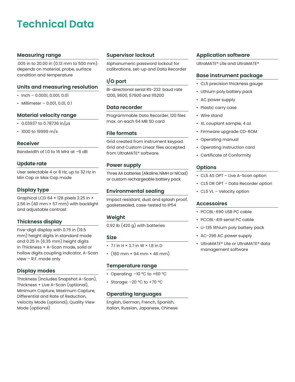### **Technical Data**

#### **Measuring range**

.005 in to 20.00 in (0.13 mm to 500 mm): depends on material, probe, surface condition and temperature

#### **Units and measuring resolution**

- Inch 0.0001, 0.001, 0.01
- Millimeter 0.001, 0.01, 0.1

#### **Material velocity range**

- 0.03937 to 0.78736 in/ $\mu$ s
- 1000 to 19999 m/s

#### **Receiver**

Bandwidth of 1.0 to 16 MHz at –6 dB

#### **Update rate**

User selectable 4 or 8 Hz, up to 32 Hz in Min Cap or Max Cap mode

#### **Display type**

Graphical LCD 64 × 128 pixels 2.25 in × 2.56 in (40 mm × 57 mm) with backlight and adjustable contrast

#### **Thickness display**

Five-digit display with 0.75 in (19.5 mm) height digits in standard mode and 0.25 in (6.35 mm) height digits in Thickness + A-Scan mode, solid or hollow digits coupling indicator, A-Scan view – R.F. mode only

#### **Display modes**

Thickness (includes Snapshot A-Scan), Thickness + Live A-Scan (optional), Minimum Capture, Maximum Capture, Differential and Rate of Reduction, Velocity Mode (optional), Quality View Mode (optional)

#### **Supervisor lockout**

Alphanumeric password lockout for calibrations, set-up and Data Recorder

#### **I/O port**

Bi-directional serial RS-232: baud rate 1200, 9600, 57600 and 115200

#### **Data recorder**

Programmable Data Recorder, 120 files max. on each 64 MB SD card

#### **File formats**

Grid created from instrument keypad. Grid and Custom Linear files accepted from UltraMATE® software.

#### **Power supply**

Three AA batteries (Alkaline, NiMH or NiCad) or custom rechargeable battery pack

#### **Environmental sealing**

Impact resistant, dust and splash proof, gasketsealed, case-tested to IP54

#### **Weight**

0.92 lb (420 g) with batteries

#### **Size**

- $\cdot$  7.1 in H  $\times$  3.7 in W  $\times$  1.8 in D
- $\cdot$  (180 mm  $\times$  94 mm  $\times$  46 mm)

#### **Temperature range**

- Operating: –10 ºC to +60 ºC
- Storage: –20 ºC to +70 ºC

#### **Operating languages**

English, German, French, Spanish, Italian, Russian, Japanese, Chinese

#### **Application software**

UltraMATE® Lite and UltraMATE®

#### **Base instrument package**

- CL5 precision thickness gauge
- Lithium poly battery pack
- AC power supply
- Plastic carry case
- Wire stand
- XL couplant sample, 4 oz
- Firmware upgrade CD-ROM
- Operating manual
- Operating instruction card
- Certificate of Conformity

#### **Options**

- CL5 AS OPT Live A-Scan option
- CL5 DR OPT Data Recorder option
- CL5 VL Velocity option

#### **Accessoires**

- PCCBL-690 USB PC cable
- PCCBL-419 serial PC cable
- Li-135 lithium poly battery pack
- AC-296 AC power supply
- UltraMATE® Lite or UltraMATE® data management software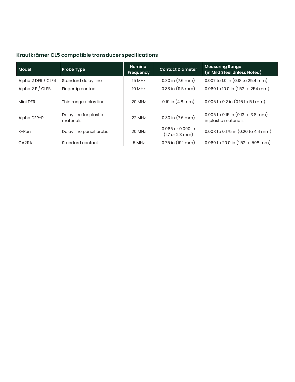### **Krautkrämer CL5 compatible transducer specifications**

| <b>Model</b>         | <b>Probe Type</b>                   | <b>Nominal</b><br>Frequency | <b>Contact Diameter</b>                                 | <b>Measuring Range</b><br>(in Mild Steel Unless Noted)        |
|----------------------|-------------------------------------|-----------------------------|---------------------------------------------------------|---------------------------------------------------------------|
| Alpha 2 DFR $/$ CLF4 | Standard delay line                 | 15 MHz                      | $0.30$ in $(7.6$ mm)                                    | 0.007 to 1.0 in (0.18 to 25.4 mm)                             |
| Alpha $2 F / CLF5$   | Fingertip contact                   | 10 MHz                      | $0.38$ in $(9.5$ mm)                                    | 0.060 to 10.0 in (1.52 to 254 mm)                             |
| Mini DFR             | Thin range delay line               | 20 MHz                      | $0.19$ in $(4.8$ mm)                                    | 0.006 to 0.2 in (0.16 to 5.1 mm)                              |
| Alpha DFR-P          | Delay line for plastic<br>materials | 22 MHz                      | $0.30$ in $(7.6$ mm)                                    | $0.005$ to 0.15 in $(0.13$ to 3.8 mm)<br>in plastic materials |
| K-Pen                | Delay line pencil probe             | 20 MHz                      | 0.065 or 0.090 in<br>$(1.7 \text{ or } 2.3 \text{ mm})$ | 0.008 to 0.175 in (0.20 to 4.4 mm)                            |
| CA211A               | Standard contact                    | 5 MHz                       | $0.75$ in $(19.1$ mm)                                   | 0.060 to 20.0 in (1.52 to 508 mm)                             |